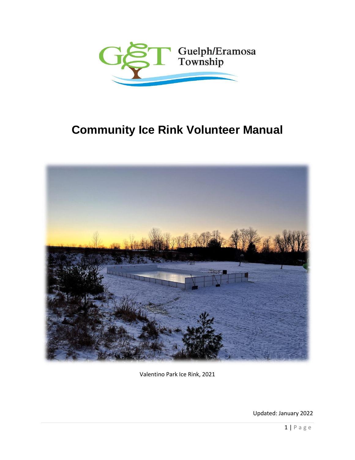

# **Community Ice Rink Volunteer Manual**



Valentino Park Ice Rink, 2021

Updated: January 2022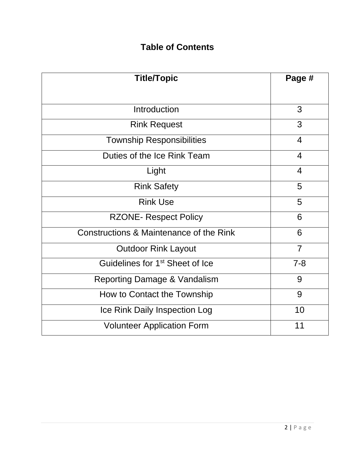# **Table of Contents**

| <b>Title/Topic</b>                          | Page #         |
|---------------------------------------------|----------------|
|                                             |                |
| Introduction                                | 3              |
| <b>Rink Request</b>                         | 3              |
| <b>Township Responsibilities</b>            | $\overline{4}$ |
| Duties of the Ice Rink Team                 | $\overline{4}$ |
| Light                                       | $\overline{4}$ |
| <b>Rink Safety</b>                          | 5              |
| <b>Rink Use</b>                             | 5              |
| <b>RZONE- Respect Policy</b>                | 6              |
| Constructions & Maintenance of the Rink     | 6              |
| <b>Outdoor Rink Layout</b>                  | $\overline{7}$ |
| Guidelines for 1 <sup>st</sup> Sheet of Ice | $7 - 8$        |
| <b>Reporting Damage &amp; Vandalism</b>     | 9              |
| How to Contact the Township                 | 9              |
| Ice Rink Daily Inspection Log               | 10             |
| <b>Volunteer Application Form</b>           | 11             |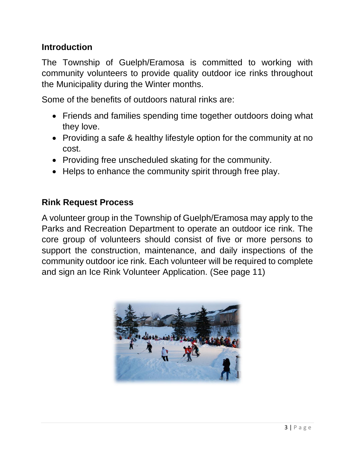# **Introduction**

The Township of Guelph/Eramosa is committed to working with community volunteers to provide quality outdoor ice rinks throughout the Municipality during the Winter months.

Some of the benefits of outdoors natural rinks are:

- Friends and families spending time together outdoors doing what they love.
- Providing a safe & healthy lifestyle option for the community at no cost.
- Providing free unscheduled skating for the community.
- Helps to enhance the community spirit through free play.

### **Rink Request Process**

A volunteer group in the Township of Guelph/Eramosa may apply to the Parks and Recreation Department to operate an outdoor ice rink. The core group of volunteers should consist of five or more persons to support the construction, maintenance, and daily inspections of the community outdoor ice rink. Each volunteer will be required to complete and sign an Ice Rink Volunteer Application. (See page 11)

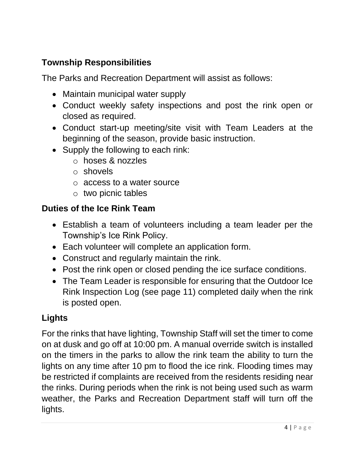# **Township Responsibilities**

The Parks and Recreation Department will assist as follows:

- Maintain municipal water supply
- Conduct weekly safety inspections and post the rink open or closed as required.
- Conduct start-up meeting/site visit with Team Leaders at the beginning of the season, provide basic instruction.
- Supply the following to each rink:
	- o hoses & nozzles
	- o shovels
	- o access to a water source
	- o two picnic tables

# **Duties of the Ice Rink Team**

- Establish a team of volunteers including a team leader per the Township's Ice Rink Policy.
- Each volunteer will complete an application form.
- Construct and regularly maintain the rink.
- Post the rink open or closed pending the ice surface conditions.
- The Team Leader is responsible for ensuring that the Outdoor Ice Rink Inspection Log (see page 11) completed daily when the rink is posted open.

# **Lights**

For the rinks that have lighting, Township Staff will set the timer to come on at dusk and go off at 10:00 pm. A manual override switch is installed on the timers in the parks to allow the rink team the ability to turn the lights on any time after 10 pm to flood the ice rink. Flooding times may be restricted if complaints are received from the residents residing near the rinks. During periods when the rink is not being used such as warm weather, the Parks and Recreation Department staff will turn off the lights.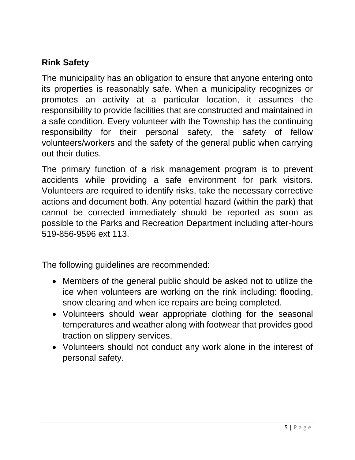# **Rink Safety**

The municipality has an obligation to ensure that anyone entering onto its properties is reasonably safe. When a municipality recognizes or promotes an activity at a particular location, it assumes the responsibility to provide facilities that are constructed and maintained in a safe condition. Every volunteer with the Township has the continuing responsibility for their personal safety, the safety of fellow volunteers/workers and the safety of the general public when carrying out their duties.

The primary function of a risk management program is to prevent accidents while providing a safe environment for park visitors. Volunteers are required to identify risks, take the necessary corrective actions and document both. Any potential hazard (within the park) that cannot be corrected immediately should be reported as soon as possible to the Parks and Recreation Department including after-hours 519-856-9596 ext 113.

The following guidelines are recommended:

- Members of the general public should be asked not to utilize the ice when volunteers are working on the rink including: flooding, snow clearing and when ice repairs are being completed.
- Volunteers should wear appropriate clothing for the seasonal temperatures and weather along with footwear that provides good traction on slippery services.
- Volunteers should not conduct any work alone in the interest of personal safety.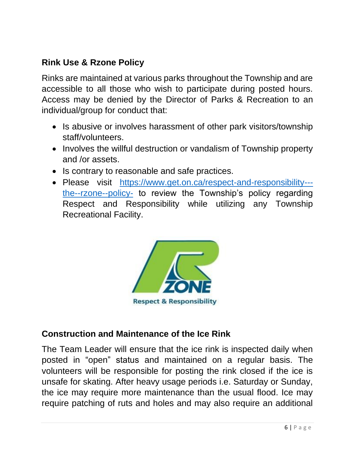# **Rink Use & Rzone Policy**

Rinks are maintained at various parks throughout the Township and are accessible to all those who wish to participate during posted hours. Access may be denied by the Director of Parks & Recreation to an individual/group for conduct that:

- Is abusive or involves harassment of other park visitors/township staff/volunteers.
- Involves the willful destruction or vandalism of Township property and /or assets.
- Is contrary to reasonable and safe practices.
- Please visit [https://www.get.on.ca/respect-and-responsibility--](https://www.get.on.ca/respect-and-responsibility---the--rzone--policy-) [the--rzone--policy-](https://www.get.on.ca/respect-and-responsibility---the--rzone--policy-) to review the Township's policy regarding Respect and Responsibility while utilizing any Township Recreational Facility.



### **Construction and Maintenance of the Ice Rink**

The Team Leader will ensure that the ice rink is inspected daily when posted in "open" status and maintained on a regular basis. The volunteers will be responsible for posting the rink closed if the ice is unsafe for skating. After heavy usage periods i.e. Saturday or Sunday, the ice may require more maintenance than the usual flood. Ice may require patching of ruts and holes and may also require an additional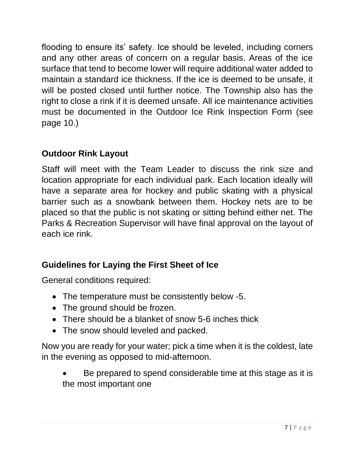flooding to ensure its' safety. Ice should be leveled, including corners and any other areas of concern on a regular basis. Areas of the ice surface that tend to become lower will require additional water added to maintain a standard ice thickness. If the ice is deemed to be unsafe, it will be posted closed until further notice. The Township also has the right to close a rink if it is deemed unsafe. All ice maintenance activities must be documented in the Outdoor Ice Rink Inspection Form (see page 10.)

# **Outdoor Rink Layout**

Staff will meet with the Team Leader to discuss the rink size and location appropriate for each individual park. Each location ideally will have a separate area for hockey and public skating with a physical barrier such as a snowbank between them. Hockey nets are to be placed so that the public is not skating or sitting behind either net. The Parks & Recreation Supervisor will have final approval on the layout of each ice rink.

# **Guidelines for Laying the First Sheet of Ice**

General conditions required:

- The temperature must be consistently below -5.
- The ground should be frozen.
- There should be a blanket of snow 5-6 inches thick
- The snow should leveled and packed.

Now you are ready for your water; pick a time when it is the coldest, late in the evening as opposed to mid-afternoon.

Be prepared to spend considerable time at this stage as it is the most important one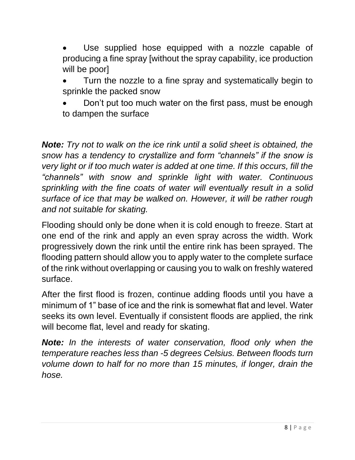Use supplied hose equipped with a nozzle capable of producing a fine spray [without the spray capability, ice production will be poor]

• Turn the nozzle to a fine spray and systematically begin to sprinkle the packed snow

• Don't put too much water on the first pass, must be enough to dampen the surface

*Note: Try not to walk on the ice rink until a solid sheet is obtained, the snow has a tendency to crystallize and form "channels" if the snow is very light or if too much water is added at one time. If this occurs, fill the "channels" with snow and sprinkle light with water. Continuous sprinkling with the fine coats of water will eventually result in a solid surface of ice that may be walked on. However, it will be rather rough and not suitable for skating.*

Flooding should only be done when it is cold enough to freeze. Start at one end of the rink and apply an even spray across the width. Work progressively down the rink until the entire rink has been sprayed. The flooding pattern should allow you to apply water to the complete surface of the rink without overlapping or causing you to walk on freshly watered surface.

After the first flood is frozen, continue adding floods until you have a minimum of 1" base of ice and the rink is somewhat flat and level. Water seeks its own level. Eventually if consistent floods are applied, the rink will become flat, level and ready for skating.

*Note: In the interests of water conservation, flood only when the temperature reaches less than -5 degrees Celsius. Between floods turn volume down to half for no more than 15 minutes, if longer, drain the hose.*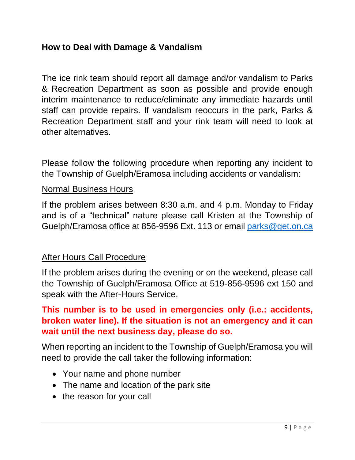### **How to Deal with Damage & Vandalism**

The ice rink team should report all damage and/or vandalism to Parks & Recreation Department as soon as possible and provide enough interim maintenance to reduce/eliminate any immediate hazards until staff can provide repairs. If vandalism reoccurs in the park, Parks & Recreation Department staff and your rink team will need to look at other alternatives.

Please follow the following procedure when reporting any incident to the Township of Guelph/Eramosa including accidents or vandalism:

### Normal Business Hours

If the problem arises between 8:30 a.m. and 4 p.m. Monday to Friday and is of a "technical" nature please call Kristen at the Township of Guelph/Eramosa office at 856-9596 Ext. 113 or email [parks@get.on.ca](mailto:parks@get.on.ca)

### After Hours Call Procedure

If the problem arises during the evening or on the weekend, please call the Township of Guelph/Eramosa Office at 519-856-9596 ext 150 and speak with the After-Hours Service.

### **This number is to be used in emergencies only (i.e.: accidents, broken water line). If the situation is not an emergency and it can wait until the next business day, please do so.**

When reporting an incident to the Township of Guelph/Eramosa you will need to provide the call taker the following information:

- Your name and phone number
- The name and location of the park site
- the reason for your call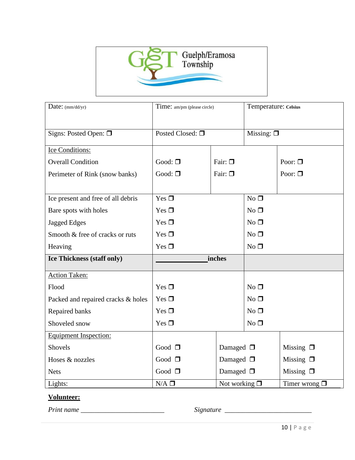

| Date: (mm/dd/yr)                   | Time: am/pm (please circle)         |                                        | Temperature: Celsius                     |                 |
|------------------------------------|-------------------------------------|----------------------------------------|------------------------------------------|-----------------|
| Signs: Posted Open: $\Box$         | Posted Closed: □                    |                                        | Missing: $\Box$                          |                 |
| <b>Ice Conditions:</b>             |                                     |                                        |                                          |                 |
| <b>Overall Condition</b>           | Good: $\square$                     | Fair: $\square$                        |                                          | Poor: $\square$ |
| Perimeter of Rink (snow banks)     | Good: $\square$                     | Fair: $\square$                        |                                          | Poor: $\square$ |
|                                    |                                     |                                        |                                          |                 |
| Ice present and free of all debris | Yes $\square$                       |                                        | $No$ $\Box$                              |                 |
| Bare spots with holes              | Yes $\Box$                          |                                        | $No$ $\square$                           |                 |
| <b>Jagged Edges</b>                | Yes $\Box$                          |                                        | $No$ $\square$                           |                 |
| Smooth & free of cracks or ruts    | Yes $\Box$                          |                                        | $No$ $\square$                           |                 |
| Heaving                            | Yes $\Box$                          |                                        | $No$ $\Box$                              |                 |
| Ice Thickness (staff only)         | inches                              |                                        |                                          |                 |
| <b>Action Taken:</b>               |                                     |                                        |                                          |                 |
| Flood                              | Yes $\square$                       |                                        | $No$ $\square$                           |                 |
| Packed and repaired cracks & holes | Yes $\Box$                          |                                        | $No$ $\square$                           |                 |
| Repaired banks                     | Yes $\Box$                          |                                        | $No$ $\square$                           |                 |
| Shoveled snow                      | Yes $\Box$                          |                                        | $No$ $\square$                           |                 |
| <b>Equipment Inspection:</b>       |                                     |                                        |                                          |                 |
| Shovels                            | Good $\square$<br>Damaged $\square$ |                                        |                                          | Missing $\Box$  |
| Hoses & nozzles                    | Good $\square$                      | Damaged $\square$                      |                                          | Missing $\Box$  |
| <b>Nets</b>                        | Good $\square$                      | Damaged $\square$<br>Missing $\square$ |                                          |                 |
| Lights:                            | $N/A$ $\square$                     |                                        | Not working $\Box$<br>Timer wrong $\Box$ |                 |

#### **Volunteer:**

*Print name \_\_\_\_\_\_\_\_\_\_\_\_\_\_\_\_\_\_\_\_\_\_\_\_ Signature \_\_\_\_\_\_\_\_\_\_\_\_\_\_\_\_\_\_\_\_\_\_\_\_\_*